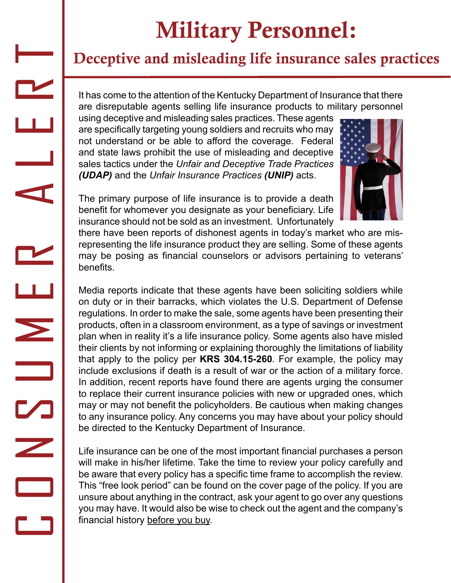## Military Personnel:

## Deceptive and misleading life insurance sales practices

It has come to the attention of the Kentucky Department of Insurance that there are disreputable agents selling life insurance products to military personnel

using deceptive and misleading sales practices. These agents are specifically targeting young soldiers and recruits who may not understand or be able to afford the coverage. Federal and state laws prohibit the use of misleading and deceptive sales tactics under the *Unfair and Deceptive Trade Practices (UDAP)* and the *Unfair Insurance Practices (UNIP)* acts.



The primary purpose of life insurance is to provide a death benefit for whomever you designate as your beneficiary. Life insurance should not be sold as an investment. Unfortunately

C O N S M E R H E R H E R

there have been reports of dishonest agents in today's market who are misrepresenting the life insurance product they are selling. Some of these agents may be posing as financial counselors or advisors pertaining to veterans' benefits.

Media reports indicate that these agents have been soliciting soldiers while on duty or in their barracks, which violates the U.S. Department of Defense regulations. In order to make the sale, some agents have been presenting their products, often in a classroom environment, as a type of savings or investment plan when in reality it's a life insurance policy. Some agents also have misled their clients by not informing or explaining thoroughly the limitations of liability that apply to the policy per **KRS 304.15-260**. For example, the policy may include exclusions if death is a result of war or the action of a military force. In addition, recent reports have found there are agents urging the consumer to replace their current insurance policies with new or upgraded ones, which may or may not benefit the policyholders. Be cautious when making changes to any insurance policy. Any concerns you may have about your policy should be directed to the Kentucky Department of Insurance.

Life insurance can be one of the most important financial purchases a person will make in his/her lifetime. Take the time to review your policy carefully and be aware that every policy has a specific time frame to accomplish the review. This "free look period" can be found on the cover page of the policy. If you are unsure about anything in the contract, ask your agent to go over any questions you may have. It would also be wise to check out the agent and the company's financial history before you buy.